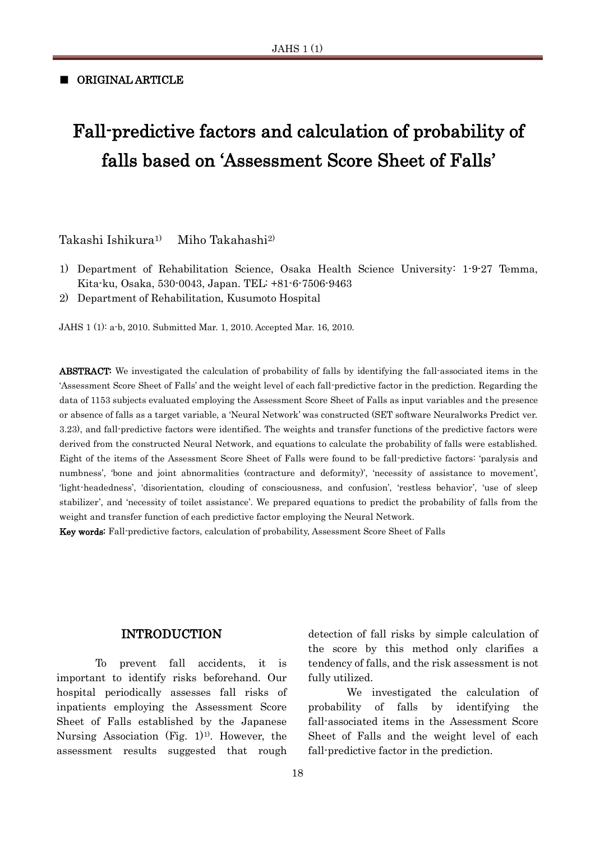#### ■ ORIGINAL ARTICLE

# Fall-predictive factors and calculation of probability of falls based on 'Assessment Score Sheet of Falls'

Takashi Ishikura1) Miho Takahashi2)

- 1) Department of Rehabilitation Science, Osaka Health Science University: 1-9-27 Temma, Kita-ku, Osaka, 530-0043, Japan. TEL: +81-6-7506-9463
- 2) Department of Rehabilitation, Kusumoto Hospital

JAHS 1 (1): a-b, 2010. Submitted Mar. 1, 2010. Accepted Mar. 16, 2010.

ABSTRACT: We investigated the calculation of probability of falls by identifying the fall-associated items in the 'Assessment Score Sheet of Falls' and the weight level of each fall-predictive factor in the prediction. Regarding the data of 1153 subjects evaluated employing the Assessment Score Sheet of Falls as input variables and the presence or absence of falls as a target variable, a 'Neural Network' was constructed (SET software Neuralworks Predict ver. 3.23), and fall-predictive factors were identified. The weights and transfer functions of the predictive factors were derived from the constructed Neural Network, and equations to calculate the probability of falls were established. Eight of the items of the Assessment Score Sheet of Falls were found to be fall-predictive factors: 'paralysis and numbness', 'bone and joint abnormalities (contracture and deformity)', 'necessity of assistance to movement', 'light-headedness', 'disorientation, clouding of consciousness, and confusion', 'restless behavior', 'use of sleep stabilizer', and 'necessity of toilet assistance'. We prepared equations to predict the probability of falls from the weight and transfer function of each predictive factor employing the Neural Network.

Key words: Fall-predictive factors, calculation of probability, Assessment Score Sheet of Falls

#### INTRODUCTION

To prevent fall accidents, it is important to identify risks beforehand. Our hospital periodically assesses fall risks of inpatients employing the Assessment Score Sheet of Falls established by the Japanese Nursing Association  $(Fig. 1)<sup>1</sup>$ . However, the assessment results suggested that rough

detection of fall risks by simple calculation of the score by this method only clarifies a tendency of falls, and the risk assessment is not fully utilized.

We investigated the calculation of probability of falls by identifying the fall-associated items in the Assessment Score Sheet of Falls and the weight level of each fall-predictive factor in the prediction.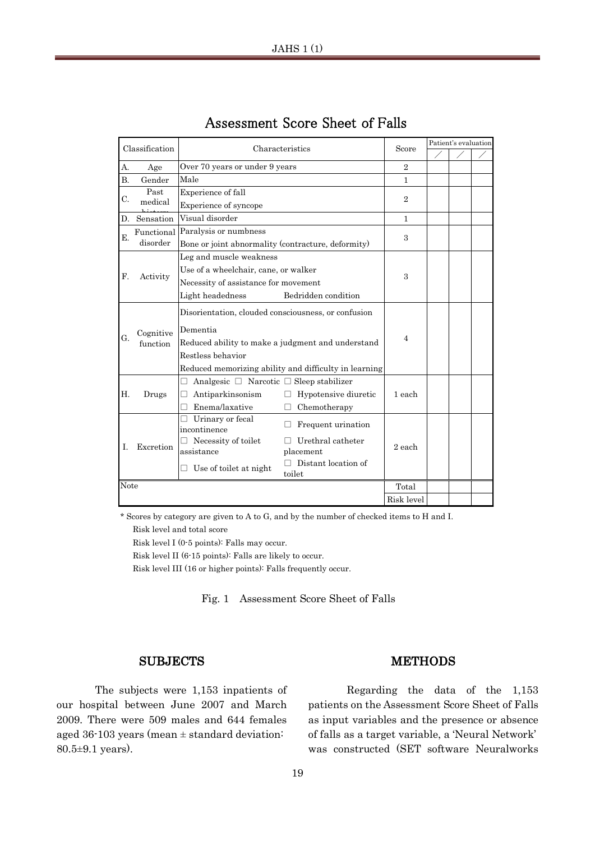| Classification |              | Characteristics                                                | Score          | Patient's evaluation |  |  |  |
|----------------|--------------|----------------------------------------------------------------|----------------|----------------------|--|--|--|
|                |              |                                                                |                |                      |  |  |  |
| А.             | Age          | Over 70 years or under 9 years                                 | $\overline{2}$ |                      |  |  |  |
| Β.             | Gender       | Male                                                           | $\mathbf{1}$   |                      |  |  |  |
| C.             | Past         | Experience of fall                                             | $\overline{2}$ |                      |  |  |  |
|                | medical      | Experience of syncope                                          |                |                      |  |  |  |
|                | D. Sensation | Visual disorder                                                | $\mathbf{1}$   |                      |  |  |  |
| Ε.             | Functional   | Paralysis or numbness                                          | $\mathcal{S}$  |                      |  |  |  |
|                | disorder     | Bone or joint abnormality (contracture, deformity)             |                |                      |  |  |  |
|                |              | Leg and muscle weakness                                        |                |                      |  |  |  |
|                |              | Use of a wheelchair, cane, or walker                           |                |                      |  |  |  |
| F.             | Activity     | Necessity of assistance for movement                           | $\mathbf{a}$   |                      |  |  |  |
|                |              | Bedridden condition<br>Light headedness                        |                |                      |  |  |  |
|                |              | Disorientation, clouded consciousness, or confusion            |                |                      |  |  |  |
|                | Cognitive    | Dementia                                                       |                |                      |  |  |  |
| G.             | function     | Reduced ability to make a judgment and understand              | $\overline{4}$ |                      |  |  |  |
|                |              | Restless behavior                                              |                |                      |  |  |  |
|                |              | Reduced memorizing ability and difficulty in learning          |                |                      |  |  |  |
|                |              | Analgesic $\Box$ Narcotic $\Box$ Sleep stabilizer<br>П         |                |                      |  |  |  |
| Η.             | Drugs        | Antiparkinsonism<br>Hypotensive diuretic<br>П                  | 1 each         |                      |  |  |  |
|                |              | Enema/laxative<br>Chemotherapy<br>П                            |                |                      |  |  |  |
|                |              | Urinary or fecal<br>Frequent urination<br>incontinence         |                |                      |  |  |  |
| T.             | Excretion    | $\Box$ Necessity of toilet<br>Urethral catheter                | 2 each         |                      |  |  |  |
|                |              | placement<br>assistance                                        |                |                      |  |  |  |
|                |              | Distant location of<br>$\Box$ Use of toilet at night<br>toilet |                |                      |  |  |  |
| Note           |              |                                                                | Total          |                      |  |  |  |
|                |              |                                                                | Risk level     |                      |  |  |  |

#### Assessment Score Sheet of Falls A 2

\* Scores by category are given to A to G, and by the number of checked items to H and I.

Risk level and total score

Risk level I (0-5 points): Falls may occur.

Risk level II (6-15 points): Falls are likely to occur.

Risk level III (16 or higher points): Falls frequently occur.

Fig. 1 Assessment Score Sheet of Falls

#### **SUBJECTS**

The subjects were 1,153 inpatients of our hospital between June 2007 and March 2009. There were 509 males and 644 females aged 36-103 years (mean  $\pm$  standard deviation: 80.5±9.1 years).

## **METHODS**

Regarding the data of the 1,153 patients on the Assessment Score Sheet of Falls as input variables and the presence or absence of falls as a target variable, a 'Neural Network' was constructed (SET software Neuralworks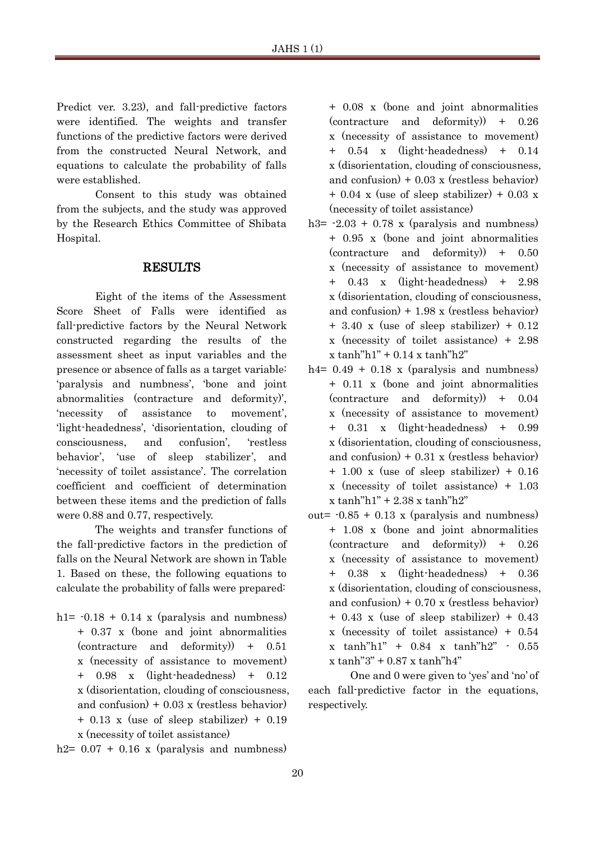Predict ver. 3.23), and fall-predictive factors were identified. The weights and transfer functions of the predictive factors were derived from the constructed Neural Network, and equations to calculate the probability of falls were established.

Consent to this study was obtained from the subjects, and the study was approved by the Research Ethics Committee of Shibata Hospital.

## RESULTS

Eight of the items of the Assessment Score Sheet of Falls were identified as fall-predictive factors by the Neural Network constructed regarding the results of the assessment sheet as input variables and the presence or absence of falls as a target variable: 'paralysis and numbness', 'bone and joint abnormalities (contracture and deformity)', 'necessity of assistance to movement', 'light-headedness', 'disorientation, clouding of consciousness, and confusion', 'restless behavior', 'use of sleep stabilizer', and 'necessity of toilet assistance'. The correlation coefficient and coefficient of determination between these items and the prediction of falls were 0.88 and 0.77, respectively.

The weights and transfer functions of the fall-predictive factors in the prediction of falls on the Neural Network are shown in Table 1. Based on these, the following equations to calculate the probability of falls were prepared:

h1=  $-0.18 + 0.14$  x (paralysis and numbness) + 0.37 x (bone and joint abnormalities (contracture and deformity)) + 0.51 x (necessity of assistance to movement) + 0.98 x (light-headedness) + 0.12 x (disorientation, clouding of consciousness, and confusion)  $+0.03$  x (restless behavior) + 0.13 x (use of sleep stabilizer) + 0.19 x (necessity of toilet assistance)

h2=  $0.07 + 0.16$  x (paralysis and numbness)

+ 0.08 x (bone and joint abnormalities (contracture and deformity)) + 0.26 x (necessity of assistance to movement) + 0.54 x (light-headedness) + 0.14 x (disorientation, clouding of consciousness, and confusion)  $+0.03$  x (restless behavior)  $+ 0.04$  x (use of sleep stabilizer)  $+ 0.03$  x (necessity of toilet assistance)

- h3=  $-2.03 + 0.78$  x (paralysis and numbness) + 0.95 x (bone and joint abnormalities (contracture and deformity)) + 0.50 x (necessity of assistance to movement) + 0.43 x (light-headedness) + 2.98 x (disorientation, clouding of consciousness, and confusion)  $+ 1.98$  x (restless behavior) + 3.40 x (use of sleep stabilizer) + 0.12 x (necessity of toilet assistance) + 2.98  $x \tanh$ "h1" + 0.14  $x \tanh$ "h2"
- h4=  $0.49 + 0.18$  x (paralysis and numbness) + 0.11 x (bone and joint abnormalities (contracture and deformity)) + 0.04 x (necessity of assistance to movement) + 0.31 x (light-headedness) + 0.99 x (disorientation, clouding of consciousness, and confusion)  $+ 0.31$  x (restless behavior) + 1.00 x (use of sleep stabilizer) + 0.16 x (necessity of toilet assistance) + 1.03  $x \tanh$ "h1" + 2.38  $x \tanh$ "h2"
- out=  $-0.85 + 0.13$  x (paralysis and numbness) + 1.08 x (bone and joint abnormalities (contracture and deformity)) + 0.26 x (necessity of assistance to movement) + 0.38 x (light-headedness) + 0.36 x (disorientation, clouding of consciousness, and confusion)  $+0.70 \times$  (restless behavior) + 0.43 x (use of sleep stabilizer) + 0.43 x (necessity of toilet assistance) + 0.54 x tanh"h1" + 0.84 x tanh"h2" - 0.55  $x \tanh$ "3" + 0.87 x tanh"h4"

One and 0 were given to 'yes' and 'no' of each fall-predictive factor in the equations, respectively.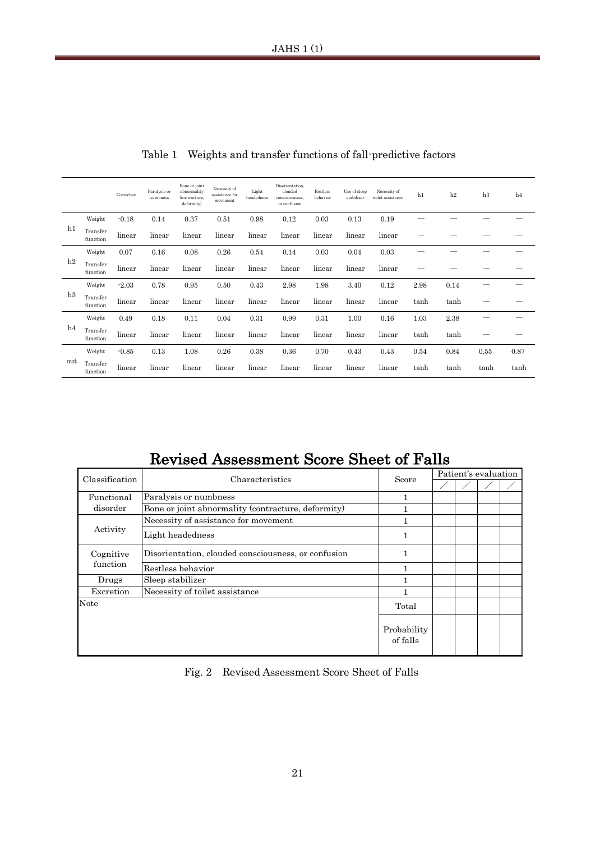|                   |                      | Correction | Paralysis or<br>numbness                            | Bone or joint<br>abnormality<br>(contracture,<br>deformity)                                | Necessity of<br>assistance for<br>movement | Light<br>headness | Disorientation,<br>clouded<br>consciousness,<br>or confusion | Restless<br>behavior | Use of sleep<br>stabilizer | Necessity of<br>toilet assistance       | h1                                                                              | h2   | h3                       | h <sub>4</sub> |  |
|-------------------|----------------------|------------|-----------------------------------------------------|--------------------------------------------------------------------------------------------|--------------------------------------------|-------------------|--------------------------------------------------------------|----------------------|----------------------------|-----------------------------------------|---------------------------------------------------------------------------------|------|--------------------------|----------------|--|
| h1                | Weight               | $-0.18$    | 0.14                                                | 0.37                                                                                       | 0.51                                       | 0.98              | 0.12                                                         | 0.03                 | 0.13                       | 0.19                                    |                                                                                 |      |                          |                |  |
|                   | Transfer<br>function | linear     | linear                                              | linear                                                                                     | linear                                     | linear            | linear                                                       | linear               | linear                     | linear                                  |                                                                                 |      |                          |                |  |
| h2                | Weight               | 0.07       | 0.16                                                | 0.08                                                                                       | 0.26                                       | 0.54              | 0.14                                                         | 0.03                 | 0.04                       | 0.03                                    | $\overline{\phantom{0}}$                                                        |      | $\overline{\phantom{0}}$ |                |  |
|                   | Transfer<br>function | linear     | linear                                              | linear                                                                                     | linear                                     | linear            | linear                                                       | linear               | linear                     | linear                                  |                                                                                 |      |                          |                |  |
| h3                | Weight               | $-2.03$    | 0.78                                                | 0.95                                                                                       | 0.50                                       | 0.43              | 2.98                                                         | 1.98                 | 3.40                       | 0.12                                    | 2.98                                                                            | 0.14 | -                        |                |  |
|                   | Transfer<br>function | linear     | linear                                              | linear                                                                                     | linear                                     | linear            | linear                                                       | linear               | linear                     | linear                                  | tanh                                                                            | tanh |                          |                |  |
|                   | Weight               | 0.49       | 0.18                                                | 0.11                                                                                       | 0.04                                       | 0.31              | 0.99                                                         | 0.31                 | 1.00                       | 0.16                                    | 1.03                                                                            | 2.38 | $\overline{\phantom{0}}$ |                |  |
| h4                | Transfer<br>function | linear     | linear                                              | linear                                                                                     | linear                                     | linear            | linear                                                       | linear               | linear                     | linear                                  | tanh                                                                            | tanh | -                        |                |  |
|                   | Weight               | $-0.85$    | 0.13                                                | 1.08                                                                                       | 0.26                                       | 0.38              | 0.36                                                         | 0.70                 | 0.43                       | 0.43                                    | 0.54                                                                            | 0.84 | 0.55                     | 0.87           |  |
| out               | Transfer<br>function | linear     | linear                                              | linear                                                                                     | linear                                     | linear            | linear                                                       | linear               | linear                     | linear                                  | tanh                                                                            | tanh | tanh                     | tanh           |  |
|                   | Classification       |            |                                                     |                                                                                            |                                            | Characteristics   |                                                              |                      |                            |                                         | <b>Revised Assessment Score Sheet of Falls</b><br>Patient's evaluation<br>Score |      |                          |                |  |
|                   |                      |            |                                                     |                                                                                            |                                            |                   |                                                              |                      |                            |                                         |                                                                                 |      |                          |                |  |
|                   | Functional           |            |                                                     | Paralysis or numbness                                                                      |                                            |                   |                                                              |                      |                            | 1                                       |                                                                                 |      |                          |                |  |
| disorder          |                      |            |                                                     | Bone or joint abnormality (contracture, deformity)<br>Necessity of assistance for movement |                                            |                   |                                                              |                      |                            |                                         | $\mathbf{1}$<br>$\mathbf{1}$                                                    |      |                          |                |  |
|                   | Activity             |            | Light headedness                                    |                                                                                            |                                            |                   |                                                              |                      | $\mathbf{1}$               |                                         |                                                                                 |      |                          |                |  |
|                   | Cognitive            |            | Disorientation, clouded consciousness, or confusion |                                                                                            |                                            |                   |                                                              |                      | $\mathbf{1}$               |                                         |                                                                                 |      |                          |                |  |
|                   | function             |            | Restless behavior                                   |                                                                                            |                                            |                   |                                                              |                      |                            | $\mathbf{1}$                            |                                                                                 |      |                          |                |  |
|                   | Drugs                |            | Sleep stabilizer<br>Necessity of toilet assistance  |                                                                                            |                                            |                   |                                                              |                      |                            | $\mathbf{1}$                            |                                                                                 |      |                          |                |  |
| Excretion<br>Note |                      |            |                                                     |                                                                                            |                                            |                   |                                                              |                      |                            | $\mathbf{1}$                            |                                                                                 |      |                          |                |  |
|                   |                      |            |                                                     |                                                                                            |                                            |                   |                                                              |                      |                            | Total<br>Probability<br>of falls        |                                                                                 |      |                          |                |  |
|                   |                      |            |                                                     | Fig. $2$                                                                                   |                                            |                   |                                                              |                      |                            | Revised Assessment Score Sheet of Falls |                                                                                 |      |                          |                |  |
| 21                |                      |            |                                                     |                                                                                            |                                            |                   |                                                              |                      |                            |                                         |                                                                                 |      |                          |                |  |

Table 1 Weights and transfer functions of fall-predictive factors

## Revised Assessment Score Sheet of Falls

| Classification | Characteristics                                     | Score                   | Patient's evaluation |  |  |  |  |
|----------------|-----------------------------------------------------|-------------------------|----------------------|--|--|--|--|
|                |                                                     |                         |                      |  |  |  |  |
| Functional     | Paralysis or numbness                               |                         |                      |  |  |  |  |
| disorder       | Bone or joint abnormality (contracture, deformity)  |                         |                      |  |  |  |  |
|                | Necessity of assistance for movement                |                         |                      |  |  |  |  |
| Activity       | Light headedness                                    |                         |                      |  |  |  |  |
| Cognitive      | Disorientation, clouded consciousness, or confusion |                         |                      |  |  |  |  |
| function       | Restless behavior                                   |                         |                      |  |  |  |  |
| Drugs          | Sleep stabilizer                                    |                         |                      |  |  |  |  |
| Excretion      | Necessity of toilet assistance                      |                         |                      |  |  |  |  |
| Note           |                                                     | Total                   |                      |  |  |  |  |
|                |                                                     | Probability<br>of falls |                      |  |  |  |  |